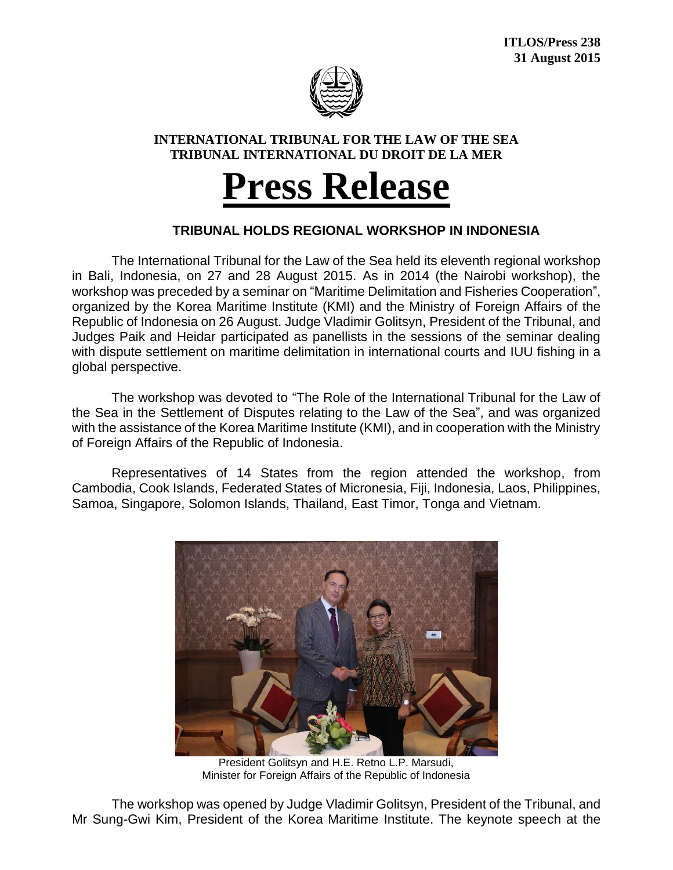

## **INTERNATIONAL TRIBUNAL FOR THE LAW OF THE SEA TRIBUNAL INTERNATIONAL DU DROIT DE LA MER**

## **Press Release**

## **TRIBUNAL HOLDS REGIONAL WORKSHOP IN INDONESIA**

The International Tribunal for the Law of the Sea held its eleventh regional workshop in Bali, Indonesia, on 27 and 28 August 2015. As in 2014 (the Nairobi workshop), the workshop was preceded by a seminar on "Maritime Delimitation and Fisheries Cooperation", organized by the Korea Maritime Institute (KMI) and the Ministry of Foreign Affairs of the Republic of Indonesia on 26 August. Judge Vladimir Golitsyn, President of the Tribunal, and Judges Paik and Heidar participated as panellists in the sessions of the seminar dealing with dispute settlement on maritime delimitation in international courts and IUU fishing in a global perspective.

The workshop was devoted to "The Role of the International Tribunal for the Law of the Sea in the Settlement of Disputes relating to the Law of the Sea", and was organized with the assistance of the Korea Maritime Institute (KMI), and in cooperation with the Ministry of Foreign Affairs of the Republic of Indonesia.

Representatives of 14 States from the region attended the workshop, from Cambodia, Cook Islands, Federated States of Micronesia, Fiji, Indonesia, Laos, Philippines, Samoa, Singapore, Solomon Islands, Thailand, East Timor, Tonga and Vietnam.



President Golitsyn and H.E. Retno L.P. Marsudi, Minister for Foreign Affairs of the Republic of Indonesia

The workshop was opened by Judge Vladimir Golitsyn, President of the Tribunal, and Mr Sung-Gwi Kim, President of the Korea Maritime Institute. The keynote speech at the